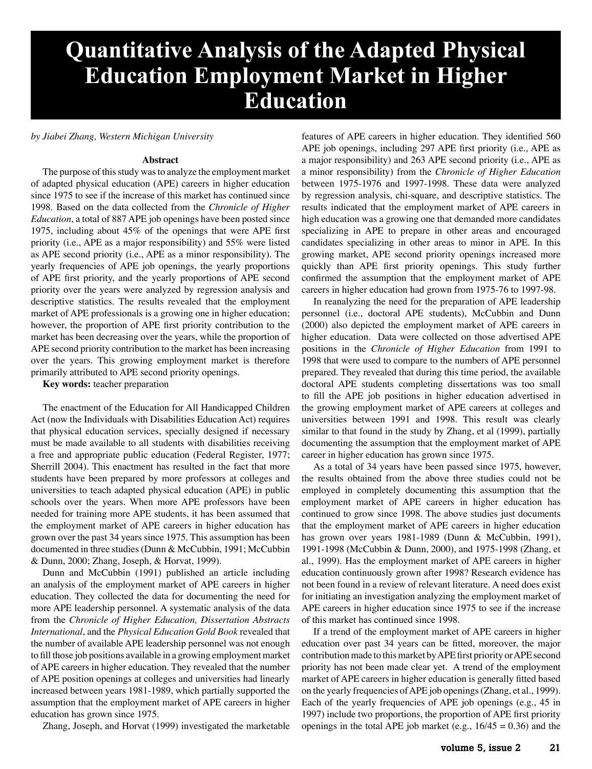# **Quantitative Analysis of the Adapted Physical Education Employment Market in Higher Education**

*by Jiabei Zhang, Western Michigan University*

## **Abstract**

The purpose of this study was to analyze the employment market of adapted physical education (APE) careers in higher education since 1975 to see if the increase of this market has continued since 1998. Based on the data collected from the *Chronicle of Higher Education*, a total of 887 APE job openings have been posted since 1975, including about 45% of the openings that were APE first priority (i.e., APE as a major responsibility) and 55% were listed as APE second priority (i.e., APE as a minor responsibility). The yearly frequencies of APE job openings, the yearly proportions of APE first priority, and the yearly proportions of APE second priority over the years were analyzed by regression analysis and descriptive statistics. The results revealed that the employment market of APE professionals is a growing one in higher education; however, the proportion of APE first priority contribution to the market has been decreasing over the years, while the proportion of APE second priority contribution to the market has been increasing over the years. This growing employment market is therefore primarily attributed to APE second priority openings.

**Key words:** teacher preparation

The enactment of the Education for All Handicapped Children Act (now the Individuals with Disabilities Education Act) requires that physical education services, specially designed if necessary must be made available to all students with disabilities receiving a free and appropriate public education (Federal Register, 1977; Sherrill 2004). This enactment has resulted in the fact that more students have been prepared by more professors at colleges and universities to teach adapted physical education (APE) in public schools over the years. When more APE professors have been needed for training more APE students, it has been assumed that the employment market of APE careers in higher education has grown over the past 34 years since 1975. This assumption has been documented in three studies (Dunn & McCubbin, 1991; McCubbin & Dunn, 2000; Zhang, Joseph, & Horvat, 1999).

Dunn and McCubbin (1991) published an article including an analysis of the employment market of APE careers in higher education. They collected the data for documenting the need for more APE leadership personnel. A systematic analysis of the data from the *Chronicle of Higher Education, Dissertation Abstracts International*, and the *Physical Education Gold Book* revealed that the number of available APE leadership personnel was not enough to fill those job positions available in a growing employment market of APE careers in higher education. They revealed that the number of APE position openings at colleges and universities had linearly increased between years 1981-1989, which partially supported the assumption that the employment market of APE careers in higher education has grown since 1975.

Zhang, Joseph, and Horvat (1999) investigated the marketable

features of APE careers in higher education. They identified 560 APE job openings, including 297 APE first priority (i.e., APE as a major responsibility) and 263 APE second priority (i.e., APE as a minor responsibility) from the *Chronicle of Higher Education* between 1975-1976 and 1997-1998. These data were analyzed by regression analysis, chi-square, and descriptive statistics. The results indicated that the employment market of APE careers in high education was a growing one that demanded more candidates specializing in APE to prepare in other areas and encouraged candidates specializing in other areas to minor in APE. In this growing market, APE second priority openings increased more quickly than APE first priority openings. This study further confirmed the assumption that the employment market of APE careers in higher education had grown from 1975-76 to 1997-98.

In reanalyzing the need for the preparation of APE leadership personnel (i.e., doctoral APE students), McCubbin and Dunn (2000) also depicted the employment market of APE careers in higher education. Data were collected on those advertised APE positions in the *Chronicle of Higher Education* from 1991 to 1998 that were used to compare to the numbers of APE personnel prepared. They revealed that during this time period, the available doctoral APE students completing dissertations was too small to fill the APE job positions in higher education advertised in the growing employment market of APE careers at colleges and universities between 1991 and 1998. This result was clearly similar to that found in the study by Zhang, et al (1999), partially documenting the assumption that the employment market of APE career in higher education has grown since 1975.

As a total of 34 years have been passed since 1975, however, the results obtained from the above three studies could not be employed in completely documenting this assumption that the employment market of APE careers in higher education has continued to grow since 1998. The above studies just documents that the employment market of APE careers in higher education has grown over years 1981-1989 (Dunn & McCubbin, 1991), 1991-1998 (McCubbin & Dunn, 2000), and 1975-1998 (Zhang, et al., 1999). Has the employment market of APE careers in higher education continuously grown after 1998? Research evidence has not been found in a review of relevant literature. A need does exist for initiating an investigation analyzing the employment market of APE careers in higher education since 1975 to see if the increase of this market has continued since 1998.

If a trend of the employment market of APE careers in higher education over past 34 years can be fitted, moreover, the major contribution made to this market by APE first priority or APE second priority has not been made clear yet. A trend of the employment market of APE careers in higher education is generally fitted based on the yearly frequencies of APE job openings (Zhang, et al., 1999). Each of the yearly frequencies of APE job openings (e.g., 45 in 1997) include two proportions, the proportion of APE first priority openings in the total APE job market (e.g.,  $16/45 = 0.36$ ) and the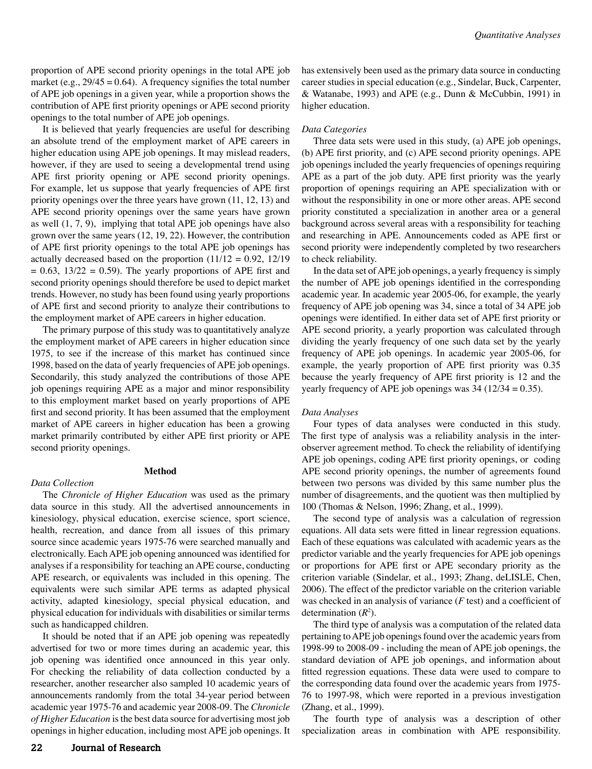proportion of APE second priority openings in the total APE job market (e.g.,  $29/45 = 0.64$ ). A frequency signifies the total number of APE job openings in a given year, while a proportion shows the contribution of APE first priority openings or APE second priority openings to the total number of APE job openings.

It is believed that yearly frequencies are useful for describing an absolute trend of the employment market of APE careers in higher education using APE job openings. It may mislead readers, however, if they are used to seeing a developmental trend using APE first priority opening or APE second priority openings. For example, let us suppose that yearly frequencies of APE first priority openings over the three years have grown (11, 12, 13) and APE second priority openings over the same years have grown as well (1, 7, 9), implying that total APE job openings have also grown over the same years (12, 19, 22). However, the contribution of APE first priority openings to the total APE job openings has actually decreased based on the proportion  $(11/12 = 0.92, 12/19)$  $= 0.63$ ,  $13/22 = 0.59$ . The yearly proportions of APE first and second priority openings should therefore be used to depict market trends. However, no study has been found using yearly proportions of APE first and second priority to analyze their contributions to the employment market of APE careers in higher education.

The primary purpose of this study was to quantitatively analyze the employment market of APE careers in higher education since 1975, to see if the increase of this market has continued since 1998, based on the data of yearly frequencies of APE job openings. Secondarily, this study analyzed the contributions of those APE job openings requiring APE as a major and minor responsibility to this employment market based on yearly proportions of APE first and second priority. It has been assumed that the employment market of APE careers in higher education has been a growing market primarily contributed by either APE first priority or APE second priority openings.

## **Method**

## *Data Collection*

The *Chronicle of Higher Education* was used as the primary data source in this study. All the advertised announcements in kinesiology, physical education, exercise science, sport science, health, recreation, and dance from all issues of this primary source since academic years 1975-76 were searched manually and electronically. Each APE job opening announced was identified for analyses if a responsibility for teaching an APE course, conducting APE research, or equivalents was included in this opening. The equivalents were such similar APE terms as adapted physical activity, adapted kinesiology, special physical education, and physical education for individuals with disabilities or similar terms such as handicapped children.

It should be noted that if an APE job opening was repeatedly advertised for two or more times during an academic year, this job opening was identified once announced in this year only. For checking the reliability of data collection conducted by a researcher, another researcher also sampled 10 academic years of announcements randomly from the total 34-year period between academic year 1975-76 and academic year 2008-09. The *Chronicle of Higher Education* is the best data source for advertising most job openings in higher education, including most APE job openings. It has extensively been used as the primary data source in conducting career studies in special education (e.g., Sindelar, Buck, Carpenter, & Watanabe, 1993) and APE (e.g., Dunn & McCubbin, 1991) in higher education.

### *Data Categories*

Three data sets were used in this study, (a) APE job openings, (b) APE first priority, and (c) APE second priority openings. APE job openings included the yearly frequencies of openings requiring APE as a part of the job duty. APE first priority was the yearly proportion of openings requiring an APE specialization with or without the responsibility in one or more other areas. APE second priority constituted a specialization in another area or a general background across several areas with a responsibility for teaching and researching in APE. Announcements coded as APE first or second priority were independently completed by two researchers to check reliability.

In the data set of APE job openings, a yearly frequency is simply the number of APE job openings identified in the corresponding academic year. In academic year 2005-06, for example, the yearly frequency of APE job opening was 34, since a total of 34 APE job openings were identified. In either data set of APE first priority or APE second priority, a yearly proportion was calculated through dividing the yearly frequency of one such data set by the yearly frequency of APE job openings. In academic year 2005-06, for example, the yearly proportion of APE first priority was 0.35 because the yearly frequency of APE first priority is 12 and the yearly frequency of APE job openings was  $34$  ( $12/34 = 0.35$ ).

#### *Data Analyses*

Four types of data analyses were conducted in this study. The first type of analysis was a reliability analysis in the interobserver agreement method. To check the reliability of identifying APE job openings, coding APE first priority openings, or coding APE second priority openings, the number of agreements found between two persons was divided by this same number plus the number of disagreements, and the quotient was then multiplied by 100 (Thomas & Nelson, 1996; Zhang, et al., 1999).

The second type of analysis was a calculation of regression equations. All data sets were fitted in linear regression equations. Each of these equations was calculated with academic years as the predictor variable and the yearly frequencies for APE job openings or proportions for APE first or APE secondary priority as the criterion variable (Sindelar, et al., 1993; Zhang, deLISLE, Chen, 2006). The effect of the predictor variable on the criterion variable was checked in an analysis of variance (*F* test) and a coefficient of determination (*R*<sup>2</sup> ).

The third type of analysis was a computation of the related data pertaining to APE job openings found over the academic years from 1998-99 to 2008-09 - including the mean of APE job openings, the standard deviation of APE job openings, and information about fitted regression equations. These data were used to compare to the corresponding data found over the academic years from 1975- 76 to 1997-98, which were reported in a previous investigation (Zhang, et al., 1999).

The fourth type of analysis was a description of other specialization areas in combination with APE responsibility.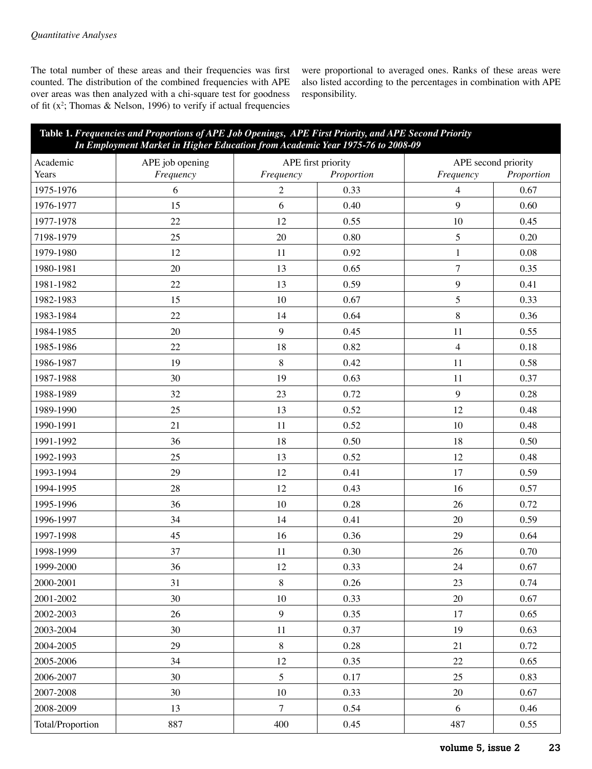The total number of these areas and their frequencies was first counted. The distribution of the combined frequencies with APE over areas was then analyzed with a chi-square test for goodness of fit  $(x^2)$ ; Thomas & Nelson, 1996) to verify if actual frequencies were proportional to averaged ones. Ranks of these areas were also listed according to the percentages in combination with APE responsibility.

| Table 1. Frequencies and Proportions of APE Job Openings, APE First Priority, and APE Second Priority<br>In Employment Market in Higher Education from Academic Year 1975-76 to 2008-09 |                 |                    |            |                     |            |  |  |
|-----------------------------------------------------------------------------------------------------------------------------------------------------------------------------------------|-----------------|--------------------|------------|---------------------|------------|--|--|
| Academic                                                                                                                                                                                | APE job opening | APE first priority |            | APE second priority |            |  |  |
| Years                                                                                                                                                                                   | Frequency       | Frequency          | Proportion | Frequency           | Proportion |  |  |
| 1975-1976                                                                                                                                                                               | 6               | $\overline{2}$     | 0.33       | $\overline{4}$      | 0.67       |  |  |
| 1976-1977                                                                                                                                                                               | 15              | 6                  | 0.40       | 9                   | 0.60       |  |  |
| 1977-1978                                                                                                                                                                               | 22              | 12                 | 0.55       | 10                  | 0.45       |  |  |
| 7198-1979                                                                                                                                                                               | 25              | 20                 | 0.80       | 5                   | 0.20       |  |  |
| 1979-1980                                                                                                                                                                               | 12              | 11                 | 0.92       | $\mathbf{1}$        | 0.08       |  |  |
| 1980-1981                                                                                                                                                                               | 20              | 13                 | 0.65       | $\tau$              | 0.35       |  |  |
| 1981-1982                                                                                                                                                                               | 22              | 13                 | 0.59       | $\overline{9}$      | 0.41       |  |  |
| 1982-1983                                                                                                                                                                               | 15              | 10                 | 0.67       | 5                   | 0.33       |  |  |
| 1983-1984                                                                                                                                                                               | $22\,$          | 14                 | 0.64       | $\,8\,$             | 0.36       |  |  |
| 1984-1985                                                                                                                                                                               | 20              | 9                  | 0.45       | 11                  | 0.55       |  |  |
| 1985-1986                                                                                                                                                                               | 22              | 18                 | 0.82       | $\overline{4}$      | 0.18       |  |  |
| 1986-1987                                                                                                                                                                               | 19              | $\,8\,$            | 0.42       | 11                  | 0.58       |  |  |
| 1987-1988                                                                                                                                                                               | 30              | 19                 | 0.63       | 11                  | 0.37       |  |  |
| 1988-1989                                                                                                                                                                               | 32              | 23                 | 0.72       | 9                   | 0.28       |  |  |
| 1989-1990                                                                                                                                                                               | 25              | 13                 | 0.52       | 12                  | 0.48       |  |  |
| 1990-1991                                                                                                                                                                               | 21              | 11                 | 0.52       | 10                  | 0.48       |  |  |
| 1991-1992                                                                                                                                                                               | 36              | 18                 | 0.50       | 18                  | 0.50       |  |  |
| 1992-1993                                                                                                                                                                               | 25              | 13                 | 0.52       | 12                  | 0.48       |  |  |
| 1993-1994                                                                                                                                                                               | 29              | 12                 | 0.41       | 17                  | 0.59       |  |  |
| 1994-1995                                                                                                                                                                               | 28              | 12                 | 0.43       | 16                  | 0.57       |  |  |
| 1995-1996                                                                                                                                                                               | 36              | 10                 | 0.28       | 26                  | 0.72       |  |  |
| 1996-1997                                                                                                                                                                               | 34              | 14                 | 0.41       | 20                  | 0.59       |  |  |
| 1997-1998                                                                                                                                                                               | 45              | 16                 | 0.36       | 29                  | 0.64       |  |  |
| 1998-1999                                                                                                                                                                               | 37              | 11                 | 0.30       | 26                  | 0.70       |  |  |
| 1999-2000                                                                                                                                                                               | 36              | 12                 | 0.33       | 24                  | 0.67       |  |  |
| 2000-2001                                                                                                                                                                               | 31              | $8\,$              | 0.26       | 23                  | 0.74       |  |  |
| 2001-2002                                                                                                                                                                               | 30              | 10                 | 0.33       | $20\,$              | 0.67       |  |  |
| 2002-2003                                                                                                                                                                               | 26              | $\boldsymbol{9}$   | 0.35       | 17                  | 0.65       |  |  |
| 2003-2004                                                                                                                                                                               | 30              | 11                 | 0.37       | 19                  | 0.63       |  |  |
| 2004-2005                                                                                                                                                                               | 29              | $\,8\,$            | 0.28       | 21                  | 0.72       |  |  |
| 2005-2006                                                                                                                                                                               | 34              | 12                 | 0.35       | 22                  | 0.65       |  |  |
| 2006-2007                                                                                                                                                                               | 30              | 5                  | 0.17       | 25                  | 0.83       |  |  |
| 2007-2008                                                                                                                                                                               | 30              | 10                 | 0.33       | 20                  | 0.67       |  |  |
| 2008-2009                                                                                                                                                                               | 13              | $\overline{7}$     | 0.54       | 6                   | 0.46       |  |  |
| Total/Proportion                                                                                                                                                                        | 887             | 400                | 0.45       | 487                 | 0.55       |  |  |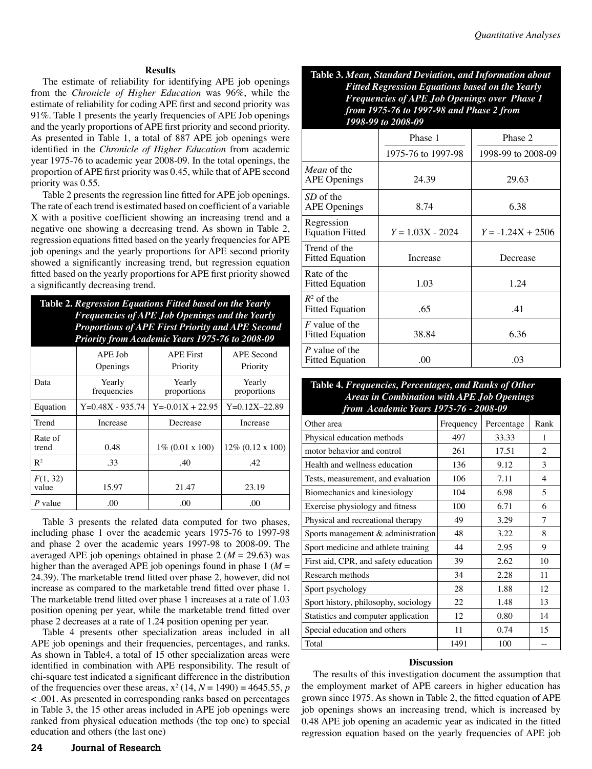## **Results**

The estimate of reliability for identifying APE job openings from the *Chronicle of Higher Education* was 96%, while the estimate of reliability for coding APE first and second priority was 91%. Table 1 presents the yearly frequencies of APE Job openings and the yearly proportions of APE first priority and second priority. As presented in Table 1, a total of 887 APE job openings were identified in the *Chronicle of Higher Education* from academic year 1975-76 to academic year 2008-09. In the total openings, the proportion of APE first priority was 0.45, while that of APE second priority was 0.55.

Table 2 presents the regression line fitted for APE job openings. The rate of each trend is estimated based on coefficient of a variable X with a positive coefficient showing an increasing trend and a negative one showing a decreasing trend. As shown in Table 2, regression equations fitted based on the yearly frequencies for APE job openings and the yearly proportions for APE second priority showed a significantly increasing trend, but regression equation fitted based on the yearly proportions for APE first priority showed a significantly decreasing trend.

| Table 2. Regression Equations Fitted based on the Yearly<br><b>Frequencies of APE Job Openings and the Yearly</b><br><b>Proportions of APE First Priority and APE Second</b><br>Priority from Academic Years 1975-76 to 2008-09 |                       |                              |                        |  |  |  |  |
|---------------------------------------------------------------------------------------------------------------------------------------------------------------------------------------------------------------------------------|-----------------------|------------------------------|------------------------|--|--|--|--|
|                                                                                                                                                                                                                                 | APE Job<br>Openings   | <b>APE First</b><br>Priority | APE Second<br>Priority |  |  |  |  |
| Data                                                                                                                                                                                                                            | Yearly<br>frequencies | Yearly<br>proportions        | Yearly<br>proportions  |  |  |  |  |
| Equation                                                                                                                                                                                                                        | $Y=0.48X - 935.74$    | $Y = -0.01X + 22.95$         | $Y=0.12X-22.89$        |  |  |  |  |
| Trend                                                                                                                                                                                                                           | Increase              | Decrease                     | Increase               |  |  |  |  |
| Rate of<br>trend                                                                                                                                                                                                                | 0.48                  | $1\%$ (0.01 x 100)           | $12\%$ (0.12 x 100)    |  |  |  |  |
| $R^2$                                                                                                                                                                                                                           | .33                   | .40                          | .42                    |  |  |  |  |
| F(1, 32)<br>value                                                                                                                                                                                                               | 15.97                 | 21.47                        | 23.19                  |  |  |  |  |
| P value                                                                                                                                                                                                                         | .00                   | .00                          | .00                    |  |  |  |  |

Table 3 presents the related data computed for two phases, including phase 1 over the academic years 1975-76 to 1997-98 and phase 2 over the academic years 1997-98 to 2008-09. The averaged APE job openings obtained in phase  $2 (M = 29.63)$  was higher than the averaged APE job openings found in phase  $1 \, (M =$ 24.39). The marketable trend fitted over phase 2, however, did not increase as compared to the marketable trend fitted over phase 1. The marketable trend fitted over phase 1 increases at a rate of 1.03 position opening per year, while the marketable trend fitted over phase 2 decreases at a rate of 1.24 position opening per year.

Table 4 presents other specialization areas included in all APE job openings and their frequencies, percentages, and ranks. As shown in Table4, a total of 15 other specialization areas were identified in combination with APE responsibility. The result of chi-square test indicated a significant difference in the distribution of the frequencies over these areas,  $x^2$  (14,  $N = 1490$ ) = 4645.55,  $p$ < .001. As presented in corresponding ranks based on percentages in Table 3, the 15 other areas included in APE job openings were ranked from physical education methods (the top one) to special education and others (the last one)

**Table 3.** *Mean, Standard Deviation, and Information about Fitted Regression Equations based on the Yearly Frequencies of APE Job Openings over Phase 1 from 1975-76 to 1997-98 and Phase 2 from 1998-99 to 2008-09*

|                                            | Phase 1            | Phase 2             |  |
|--------------------------------------------|--------------------|---------------------|--|
|                                            | 1975-76 to 1997-98 | 1998-99 to 2008-09  |  |
| <i>Mean</i> of the<br><b>APE</b> Openings  | 24.39              | 29.63               |  |
| SD of the<br><b>APE Openings</b>           | 8.74               | 6.38                |  |
| Regression<br><b>Equation Fitted</b>       | $Y = 1.03X - 2024$ | $Y = -1.24X + 2506$ |  |
| Trend of the<br><b>Fitted Equation</b>     | Increase           | Decrease            |  |
| Rate of the<br><b>Fitted Equation</b>      | 1.03               | 1.24                |  |
| $R^2$ of the<br><b>Fitted Equation</b>     | .65                | .41                 |  |
| $F$ value of the<br><b>Fitted Equation</b> | 38.84              | 6.36                |  |
| $P$ value of the<br><b>Fitted Equation</b> | .00                | .03                 |  |

## **Table 4.** *Frequencies, Percentages, and Ranks of Other Areas in Combination with APE Job Openings from Academic Years 1975-76 - 2008-09*

| Other area                           | Frequency | Percentage | Rank |
|--------------------------------------|-----------|------------|------|
| Physical education methods           | 497       | 33.33      | 1    |
| motor behavior and control           | 261       | 17.51      | 2    |
| Health and wellness education        | 136       | 9.12       | 3    |
| Tests, measurement, and evaluation   | 106       | 7.11       | 4    |
| Biomechanics and kinesiology         | 104       | 6.98       | 5    |
| Exercise physiology and fitness      | 100       | 6.71       | 6    |
| Physical and recreational therapy    | 49        | 3.29       | 7    |
| Sports management $&$ administration | 48        | 3.22       | 8    |
| Sport medicine and athlete training  | 44        | 2.95       | 9    |
| First aid, CPR, and safety education | 39        | 2.62       | 10   |
| Research methods                     | 34        | 2.28       | 11   |
| Sport psychology                     | 28        | 1.88       | 12   |
| Sport history, philosophy, sociology | 22        | 1.48       | 13   |
| Statistics and computer application  | 12        | 0.80       | 14   |
| Special education and others         | 11        | 0.74       | 15   |
| Total                                | 1491      | 100        |      |

## **Discussion**

The results of this investigation document the assumption that the employment market of APE careers in higher education has grown since 1975. As shown in Table 2, the fitted equation of APE job openings shows an increasing trend, which is increased by 0.48 APE job opening an academic year as indicated in the fitted regression equation based on the yearly frequencies of APE job